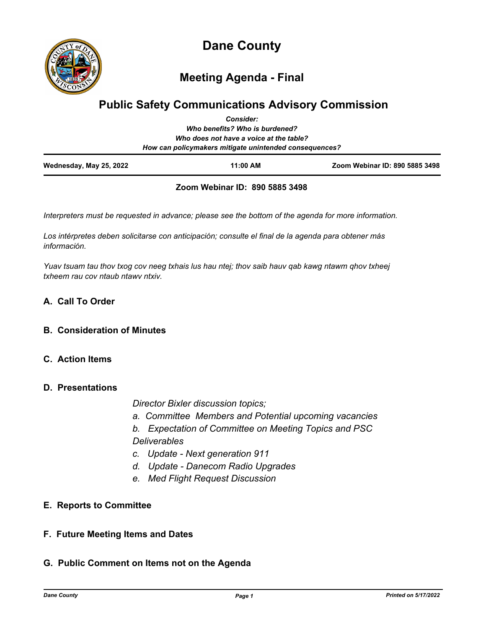

**Dane County**

**Meeting Agenda - Final**

# **Public Safety Communications Advisory Commission**

| Wednesday, May 25, 2022 | 11:00 AM                                                                                          | Zoom Webinar ID: 890 5885 3498 |
|-------------------------|---------------------------------------------------------------------------------------------------|--------------------------------|
|                         | Who does not have a voice at the table?<br>How can policymakers mitigate unintended consequences? |                                |
|                         | Who benefits? Who is burdened?                                                                    |                                |
|                         | <b>Consider:</b>                                                                                  |                                |

## **Zoom Webinar ID: 890 5885 3498**

*Interpreters must be requested in advance; please see the bottom of the agenda for more information.*

*Los intérpretes deben solicitarse con anticipación; consulte el final de la agenda para obtener más información.*

*Yuav tsuam tau thov txog cov neeg txhais lus hau ntej; thov saib hauv qab kawg ntawm qhov txheej txheem rau cov ntaub ntawv ntxiv.*

## **A. Call To Order**

## **B. Consideration of Minutes**

## **C. Action Items**

#### **D. Presentations**

*Director Bixler discussion topics;*

- *a. Committee Members and Potential upcoming vacancies*
- *b. Expectation of Committee on Meeting Topics and PSC Deliverables*
- *c. Update Next generation 911*
- *d. Update Danecom Radio Upgrades*
- *e. Med Flight Request Discussion*

## **E. Reports to Committee**

## **F. Future Meeting Items and Dates**

## **G. Public Comment on Items not on the Agenda**